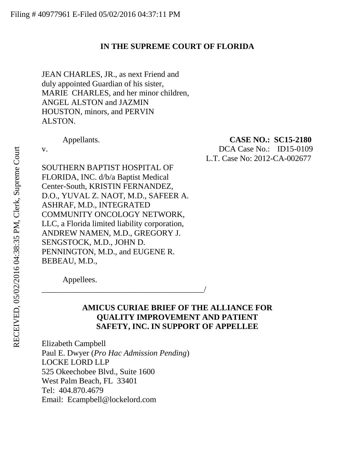### <span id="page-0-0"></span>**IN THE SUPREME COURT OF FLORIDA**

JEAN CHARLES, JR., as next Friend and duly appointed Guardian of his sister, MARIE CHARLES, and her minor children, ANGEL ALSTON and JAZMIN HOUSTON, minors, and PERVIN ALSTON.

Appellants. **CASE NO.: SC15-2180** 

v. DCA Case No.: ID15-0109 L.T. Case No: 2012-CA-002677

SOUTHERN BAPTIST HOSPITAL OF FLORIDA, INC. d/b/a Baptist Medical Center-South, KRISTIN FERNANDEZ, D.O., YUVAL Z. NAOT, M.D., SAFEER A. ASHRAF, M.D., INTEGRATED COMMUNITY ONCOLOGY NETWORK, LLC, a Florida limited liability corporation, ANDREW NAMEN, M.D., GREGORY J. SENGSTOCK, M.D., JOHN D. PENNINGTON, M.D., and EUGENE R. BEBEAU, M.D.,

\_\_\_\_\_\_\_\_\_\_\_\_\_\_\_\_\_\_\_\_\_\_\_\_\_\_\_\_\_\_\_\_\_\_\_\_\_\_\_\_/

Appellees.

### **AMICUS CURIAE BRIEF OF THE ALLIANCE FOR QUALITY IMPROVEMENT AND PATIENT SAFETY, INC. IN SUPPORT OF APPELLEE**

Elizabeth Campbell Paul E. Dwyer (*Pro Hac Admission Pending*) LOCKE LORD LLP 525 Okeechobee Blvd., Suite 1600 West Palm Beach, FL 33401 Tel: 404.870.4679 Email: Ecampbell@lockelord.com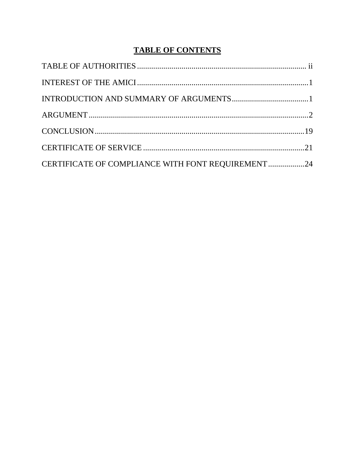# **TABLE OF CONTENTS**

| CERTIFICATE OF COMPLIANCE WITH FONT REQUIREMENT24 |  |
|---------------------------------------------------|--|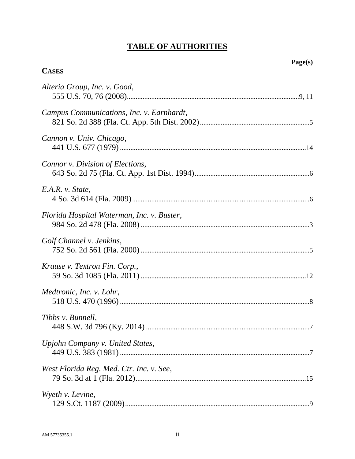# **TABLE OF AUTHORITIES**

# **CASES**

| Alteria Group, Inc. v. Good,               |
|--------------------------------------------|
| Campus Communications, Inc. v. Earnhardt,  |
| Cannon v. Univ. Chicago,                   |
| Connor v. Division of Elections,           |
| E.A.R. v. State,                           |
| Florida Hospital Waterman, Inc. v. Buster, |
| Golf Channel v. Jenkins,                   |
| Krause v. Textron Fin. Corp.,              |
| Medtronic, Inc. v. Lohr,                   |
| Tibbs v. Bunnell,                          |
| Upjohn Company v. United States,           |
| West Florida Reg. Med. Ctr. Inc. v. See,   |
| Wyeth v. Levine,                           |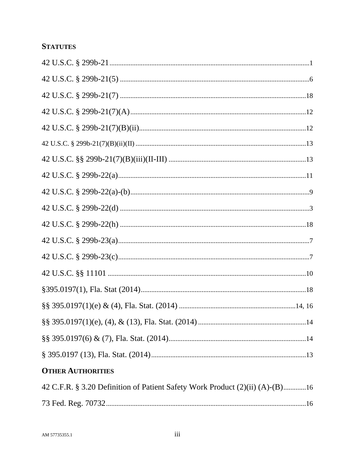# **STATUTES**

| <b>OTHER AUTHORITIES</b>                                                     |  |
|------------------------------------------------------------------------------|--|
| 42 C.F.R. § 3.20 Definition of Patient Safety Work Product (2)(ii) (A)-(B)16 |  |
|                                                                              |  |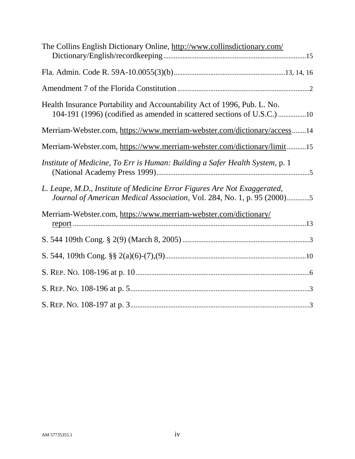| The Collins English Dictionary Online, http://www.collinsdictionary.com/                                                                            |
|-----------------------------------------------------------------------------------------------------------------------------------------------------|
|                                                                                                                                                     |
|                                                                                                                                                     |
| Health Insurance Portability and Accountability Act of 1996, Pub. L. No.<br>104-191 (1996) (codified as amended in scattered sections of U.S.C.) 10 |
| Merriam-Webster.com, https://www.merriam-webster.com/dictionary/access14                                                                            |
| Merriam-Webster.com, https://www.merriam-webster.com/dictionary/limit15                                                                             |
| Institute of Medicine, To Err is Human: Building a Safer Health System, p. 1                                                                        |
| L. Leape, M.D., Institute of Medicine Error Figures Are Not Exaggerated,<br>Journal of American Medical Association, Vol. 284, No. 1, p. 95 (2000)5 |
| Merriam-Webster.com, https://www.merriam-webster.com/dictionary/                                                                                    |
|                                                                                                                                                     |
|                                                                                                                                                     |
|                                                                                                                                                     |
|                                                                                                                                                     |
|                                                                                                                                                     |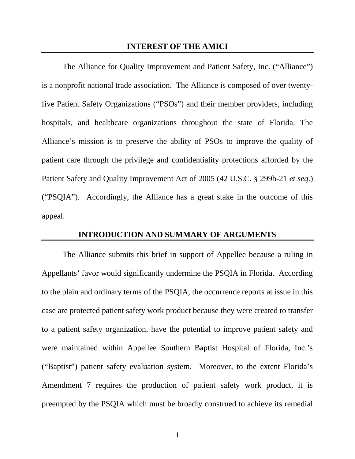#### <span id="page-5-0"></span>**INTEREST OF THE AMICI**

The Alliance for Quality Improvement and Patient Safety, Inc. ("Alliance") is a nonprofit national trade association. The Alliance is composed of over twentyfive Patient Safety Organizations ("PSOs") and their member providers, including hospitals, and healthcare organizations throughout the state of Florida. The Alliance's mission is to preserve the ability of PSOs to improve the quality of patient care through the privilege and confidentiality protections afforded by the Patient Safety and Quality Improvement Act of 2005 (42 U.S.C. § 299b-21 *et seq*.) ("PSQIA"). Accordingly, the Alliance has a great stake in the outcome of this appeal.

#### **INTRODUCTION AND SUMMARY OF ARGUMENTS**

The Alliance submits this brief in support of Appellee because a ruling in Appellants' favor would significantly undermine the PSQIA in Florida. According to the plain and ordinary terms of the PSQIA, the occurrence reports at issue in this case are protected patient safety work product because they were created to transfer to a patient safety organization, have the potential to improve patient safety and were maintained within Appellee Southern Baptist Hospital of Florida, Inc.'s ("Baptist") patient safety evaluation system. Moreover, to the extent Florida's Amendment 7 requires the production of patient safety work product, it is preempted by the PSQIA which must be broadly construed to achieve its remedial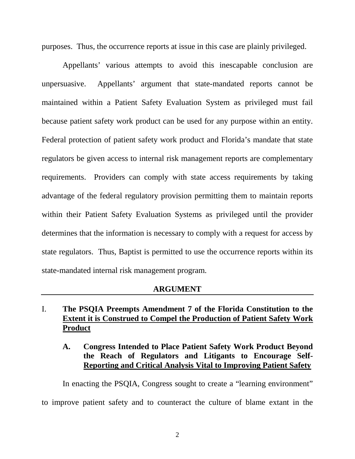purposes. Thus, the occurrence reports at issue in this case are plainly privileged.

Appellants' various attempts to avoid this inescapable conclusion are unpersuasive. Appellants' argument that state-mandated reports cannot be maintained within a Patient Safety Evaluation System as privileged must fail because patient safety work product can be used for any purpose within an entity. Federal protection of patient safety work product and Florida's mandate that state regulators be given access to internal risk management reports are complementary requirements. Providers can comply with state access requirements by taking advantage of the federal regulatory provision permitting them to maintain reports within their Patient Safety Evaluation Systems as privileged until the provider determines that the information is necessary to comply with a request for access by state regulators. Thus, Baptist is permitted to use the occurrence reports within its state-mandated internal risk management program.

### **ARGUMENT**

## I. **The PSQIA Preempts Amendment 7 of the Florida Constitution to the Extent it is Construed to Compel the Production of Patient Safety Work Product**

### **A. Congress Intended to Place Patient Safety Work Product Beyond the Reach of Regulators and Litigants to Encourage Self-Reporting and Critical Analysis Vital to Improving Patient Safety**

In enacting the PSQIA, Congress sought to create a "learning environment"

to improve patient safety and to counteract the culture of blame extant in the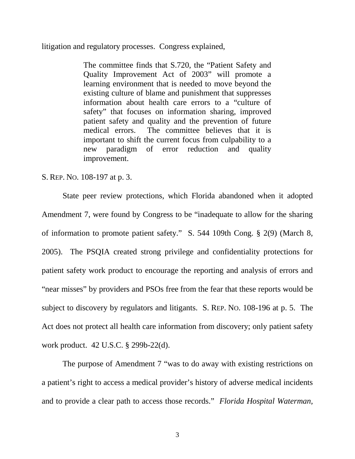litigation and regulatory processes. Congress explained,

The committee finds that S.720, the "Patient Safety and Quality Improvement Act of 2003" will promote a learning environment that is needed to move beyond the existing culture of blame and punishment that suppresses information about health care errors to a "culture of safety" that focuses on information sharing, improved patient safety and quality and the prevention of future medical errors. The committee believes that it is important to shift the current focus from culpability to a new paradigm of error reduction and quality improvement.

#### <span id="page-7-4"></span>S. REP. NO. 108-197 at p. 3.

<span id="page-7-2"></span>State peer review protections, which Florida abandoned when it adopted Amendment 7, were found by Congress to be "inadequate to allow for the sharing of information to promote patient safety." S. 544 109th Cong. § 2(9) (March 8, 2005). The PSQIA created strong privilege and confidentiality protections for patient safety work product to encourage the reporting and analysis of errors and "near misses" by providers and PSOs free from the fear that these reports would be subject to discovery by regulators and litigants. S. REP. NO. 108-196 at p. 5. The Act does not protect all health care information from discovery; only patient safety work product. 42 U.S.C. § 299b-22(d).

<span id="page-7-3"></span><span id="page-7-1"></span><span id="page-7-0"></span>The purpose of Amendment 7 "was to do away with existing restrictions on a patient's right to access a medical provider's history of adverse medical incidents and to provide a clear path to access those records." *Florida Hospital Waterman,*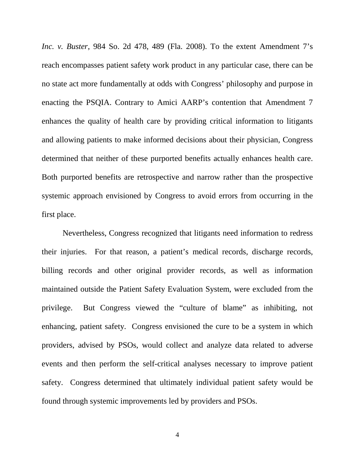*Inc. v. Buster*, 984 So. 2d 478, 489 (Fla. 2008). To the extent Amendment 7's reach encompasses patient safety work product in any particular case, there can be no state act more fundamentally at odds with Congress' philosophy and purpose in enacting the PSQIA. Contrary to Amici AARP's contention that Amendment 7 enhances the quality of health care by providing critical information to litigants and allowing patients to make informed decisions about their physician, Congress determined that neither of these purported benefits actually enhances health care. Both purported benefits are retrospective and narrow rather than the prospective systemic approach envisioned by Congress to avoid errors from occurring in the first place.

Nevertheless, Congress recognized that litigants need information to redress their injuries. For that reason, a patient's medical records, discharge records, billing records and other original provider records, as well as information maintained outside the Patient Safety Evaluation System, were excluded from the privilege. But Congress viewed the "culture of blame" as inhibiting, not enhancing, patient safety. Congress envisioned the cure to be a system in which providers, advised by PSOs, would collect and analyze data related to adverse events and then perform the self-critical analyses necessary to improve patient safety. Congress determined that ultimately individual patient safety would be found through systemic improvements led by providers and PSOs.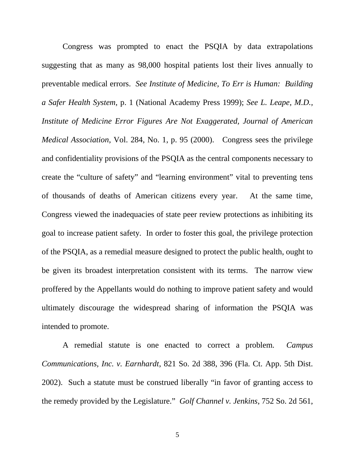<span id="page-9-3"></span><span id="page-9-2"></span>Congress was prompted to enact the PSQIA by data extrapolations suggesting that as many as 98,000 hospital patients lost their lives annually to preventable medical errors. *See Institute of Medicine, To Err is Human: Building a Safer Health System*, p. 1 (National Academy Press 1999); *See L. Leape, M.D., Institute of Medicine Error Figures Are Not Exaggerated, Journal of American Medical Association*, Vol. 284, No. 1, p. 95 (2000). Congress sees the privilege and confidentiality provisions of the PSQIA as the central components necessary to create the "culture of safety" and "learning environment" vital to preventing tens of thousands of deaths of American citizens every year. At the same time, Congress viewed the inadequacies of state peer review protections as inhibiting its goal to increase patient safety. In order to foster this goal, the privilege protection of the PSQIA, as a remedial measure designed to protect the public health, ought to be given its broadest interpretation consistent with its terms. The narrow view proffered by the Appellants would do nothing to improve patient safety and would ultimately discourage the widespread sharing of information the PSQIA was intended to promote.

<span id="page-9-1"></span><span id="page-9-0"></span>A remedial statute is one enacted to correct a problem. *Campus Communications, Inc. v. Earnhardt*, 821 So. 2d 388, 396 (Fla. Ct. App. 5th Dist. 2002). Such a statute must be construed liberally "in favor of granting access to the remedy provided by the Legislature." *Golf Channel v. Jenkins*, 752 So. 2d 561,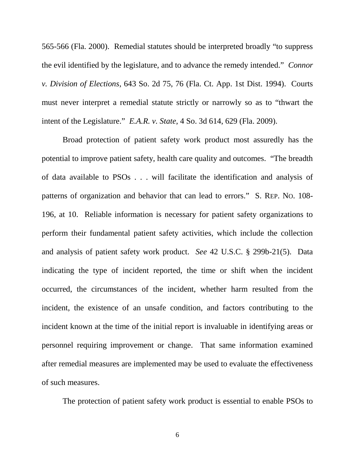<span id="page-10-0"></span>565-566 (Fla. 2000). Remedial statutes should be interpreted broadly "to suppress the evil identified by the legislature, and to advance the remedy intended." *Connor v. Division of Elections*, 643 So. 2d 75, 76 (Fla. Ct. App. 1st Dist. 1994). Courts must never interpret a remedial statute strictly or narrowly so as to "thwart the intent of the Legislature." *E.A.R. v. State*, 4 So. 3d 614, 629 (Fla. 2009).

<span id="page-10-3"></span><span id="page-10-2"></span><span id="page-10-1"></span>Broad protection of patient safety work product most assuredly has the potential to improve patient safety, health care quality and outcomes. "The breadth of data available to PSOs . . . will facilitate the identification and analysis of patterns of organization and behavior that can lead to errors." S. REP. NO. 108- 196, at 10. Reliable information is necessary for patient safety organizations to perform their fundamental patient safety activities, which include the collection and analysis of patient safety work product. *See* 42 U.S.C. § 299b-21(5). Data indicating the type of incident reported, the time or shift when the incident occurred, the circumstances of the incident, whether harm resulted from the incident, the existence of an unsafe condition, and factors contributing to the incident known at the time of the initial report is invaluable in identifying areas or personnel requiring improvement or change. That same information examined after remedial measures are implemented may be used to evaluate the effectiveness of such measures.

The protection of patient safety work product is essential to enable PSOs to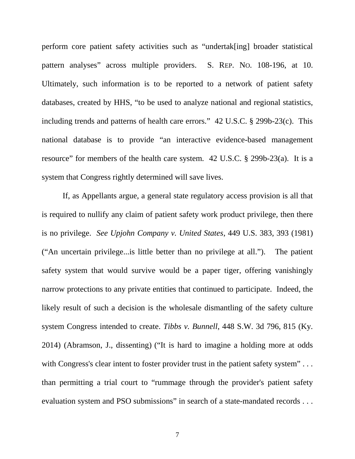<span id="page-11-3"></span>perform core patient safety activities such as "undertak[ing] broader statistical pattern analyses" across multiple providers. S. REP. NO. 108-196, at 10. Ultimately, such information is to be reported to a network of patient safety databases, created by HHS, "to be used to analyze national and regional statistics, including trends and patterns of health care errors." 42 U.S.C. § 299b-23(c). This national database is to provide "an interactive evidence-based management resource" for members of the health care system. 42 U.S.C. § 299b-23(a). It is a system that Congress rightly determined will save lives.

<span id="page-11-2"></span><span id="page-11-1"></span><span id="page-11-0"></span>If, as Appellants argue, a general state regulatory access provision is all that is required to nullify any claim of patient safety work product privilege, then there is no privilege. *See Upjohn Company v. United States*, 449 U.S. 383, 393 (1981) ("An uncertain privilege...is little better than no privilege at all."). The patient safety system that would survive would be a paper tiger, offering vanishingly narrow protections to any private entities that continued to participate. Indeed, the likely result of such a decision is the wholesale dismantling of the safety culture system Congress intended to create. *Tibbs v. Bunnell*, 448 S.W. 3d 796, 815 (Ky. 2014) (Abramson, J., dissenting) ("It is hard to imagine a holding more at odds with Congress's clear intent to foster provider trust in the patient safety system"... than permitting a trial court to "rummage through the provider's patient safety evaluation system and PSO submissions" in search of a state-mandated records . . .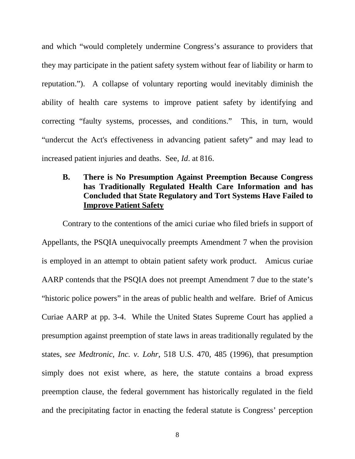and which "would completely undermine Congress's assurance to providers that they may participate in the patient safety system without fear of liability or harm to reputation."). A collapse of voluntary reporting would inevitably diminish the ability of health care systems to improve patient safety by identifying and correcting "faulty systems, processes, and conditions." This, in turn, would "undercut the Act's effectiveness in advancing patient safety" and may lead to increased patient injuries and deaths. See, *Id*. at 816.

## <span id="page-12-1"></span>**B. There is No Presumption Against Preemption Because Congress has Traditionally Regulated Health Care Information and has Concluded that State Regulatory and Tort Systems Have Failed to Improve Patient Safety**

<span id="page-12-0"></span>Contrary to the contentions of the amici curiae who filed briefs in support of Appellants, the PSQIA unequivocally preempts Amendment 7 when the provision is employed in an attempt to obtain patient safety work product. Amicus curiae AARP contends that the PSQIA does not preempt Amendment 7 due to the state's "historic police powers" in the areas of public health and welfare. Brief of Amicus Curiae AARP at pp. 3-4. While the United States Supreme Court has applied a presumption against preemption of state laws in areas traditionally regulated by the states, *see Medtronic, Inc. v. Lohr*, 518 U.S. 470, 485 (1996), that presumption simply does not exist where, as here, the statute contains a broad express preemption clause, the federal government has historically regulated in the field and the precipitating factor in enacting the federal statute is Congress' perception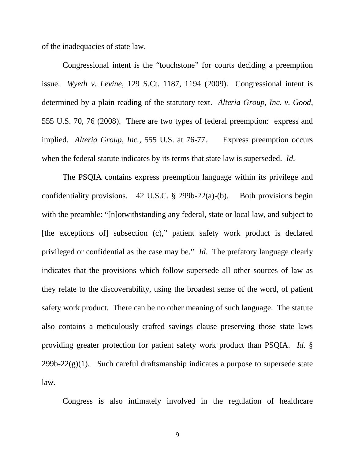of the inadequacies of state law.

<span id="page-13-1"></span><span id="page-13-0"></span>Congressional intent is the "touchstone" for courts deciding a preemption issue. *Wyeth v. Levine*, 129 S.Ct. 1187, 1194 (2009). Congressional intent is determined by a plain reading of the statutory text. *Alteria Group, Inc. v. Good*, 555 U.S. 70, 76 (2008). There are two types of federal preemption: express and implied. *Alteria Group, Inc.*, 555 U.S. at 76-77. Express preemption occurs when the federal statute indicates by its terms that state law is superseded. *Id*.

<span id="page-13-2"></span>The PSQIA contains express preemption language within its privilege and confidentiality provisions. 42 U.S.C.  $\S$  299b-22(a)-(b). Both provisions begin with the preamble: "[n]otwithstanding any federal, state or local law, and subject to [the exceptions of] subsection (c)," patient safety work product is declared privileged or confidential as the case may be." *Id*. The prefatory language clearly indicates that the provisions which follow supersede all other sources of law as they relate to the discoverability, using the broadest sense of the word, of patient safety work product. There can be no other meaning of such language. The statute also contains a meticulously crafted savings clause preserving those state laws providing greater protection for patient safety work product than PSQIA. *Id*. §  $299b-22(g)(1)$ . Such careful draftsmanship indicates a purpose to supersede state law.

Congress is also intimately involved in the regulation of healthcare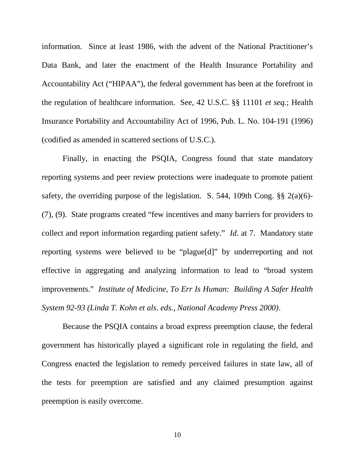<span id="page-14-1"></span><span id="page-14-0"></span>information. Since at least 1986, with the advent of the National Practitioner's Data Bank, and later the enactment of the Health Insurance Portability and Accountability Act ("HIPAA"), the federal government has been at the forefront in the regulation of healthcare information. See, 42 U.S.C. §§ 11101 *et seq.*; Health Insurance Portability and Accountability Act of 1996, Pub. L. No. 104-191 (1996) (codified as amended in scattered sections of U.S.C.).

<span id="page-14-2"></span>Finally, in enacting the PSQIA, Congress found that state mandatory reporting systems and peer review protections were inadequate to promote patient safety, the overriding purpose of the legislation. S. 544, 109th Cong. §§ 2(a)(6)- (7), (9). State programs created "few incentives and many barriers for providers to collect and report information regarding patient safety." *Id*. at 7. Mandatory state reporting systems were believed to be "plague[d]" by underreporting and not effective in aggregating and analyzing information to lead to "broad system improvements." *Institute of Medicine, To Err Is Human: Building A Safer Health System 92-93 (Linda T. Kohn et als. eds., National Academy Press 2000)*.

Because the PSQIA contains a broad express preemption clause, the federal government has historically played a significant role in regulating the field, and Congress enacted the legislation to remedy perceived failures in state law, all of the tests for preemption are satisfied and any claimed presumption against preemption is easily overcome.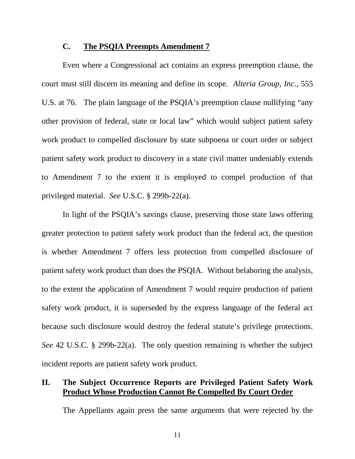### <span id="page-15-0"></span>**C. The PSQIA Preempts Amendment 7**

Even where a Congressional act contains an express preemption clause, the court must still discern its meaning and define its scope. *Alteria Group, Inc.*, 555 U.S. at 76. The plain language of the PSQIA's preemption clause nullifying "any other provision of federal, state or local law" which would subject patient safety work product to compelled disclosure by state subpoena or court order or subject patient safety work product to discovery in a state civil matter undeniably extends to Amendment 7 to the extent it is employed to compel production of that privileged material. *See* U.S.C. § 299b-22(a).

In light of the PSQIA's savings clause, preserving those state laws offering greater protection to patient safety work product than the federal act, the question is whether Amendment 7 offers less protection from compelled disclosure of patient safety work product than does the PSQIA. Without belaboring the analysis, to the extent the application of Amendment 7 would require production of patient safety work product, it is superseded by the express language of the federal act because such disclosure would destroy the federal statute's privilege protections. *See* 42 U.S.C. § 299b-22(a). The only question remaining is whether the subject incident reports are patient safety work product.

### <span id="page-15-1"></span>**II. The Subject Occurrence Reports are Privileged Patient Safety Work Product Whose Production Cannot Be Compelled By Court Order**

The Appellants again press the same arguments that were rejected by the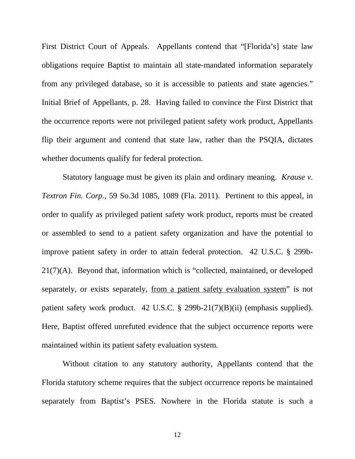First District Court of Appeals. Appellants contend that "[Florida's] state law obligations require Baptist to maintain all state-mandated information separately from any privileged database, so it is accessible to patients and state agencies." Initial Brief of Appellants, p. 28. Having failed to convince the First District that the occurrence reports were not privileged patient safety work product, Appellants flip their argument and contend that state law, rather than the PSQIA, dictates whether documents qualify for federal protection.

<span id="page-16-1"></span><span id="page-16-0"></span>Statutory language must be given its plain and ordinary meaning. *Krause v. Textron Fin. Corp.*, 59 So.3d 1085, 1089 (Fla. 2011). Pertinent to this appeal, in order to qualify as privileged patient safety work product, reports must be created or assembled to send to a patient safety organization and have the potential to improve patient safety in order to attain federal protection. 42 U.S.C. § 299b-21(7)(A). Beyond that, information which is "collected, maintained, or developed separately, or exists separately, from a patient safety evaluation system" is not patient safety work product. 42 U.S.C. § 299b-21(7)(B)(ii) (emphasis supplied). Here, Baptist offered unrefuted evidence that the subject occurrence reports were maintained within its patient safety evaluation system.

<span id="page-16-2"></span>Without citation to any statutory authority, Appellants contend that the Florida statutory scheme requires that the subject occurrence reports be maintained separately from Baptist's PSES. Nowhere in the Florida statute is such a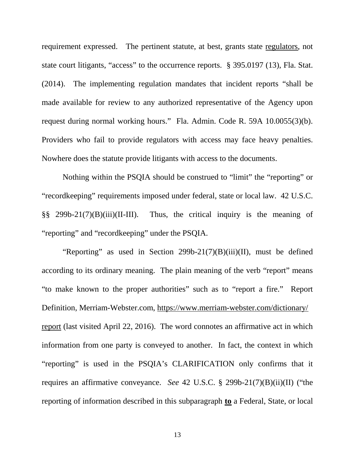<span id="page-17-2"></span>requirement expressed. The pertinent statute, at best, grants state regulators, not state court litigants, "access" to the occurrence reports. § 395.0197 (13), Fla. Stat. (2014). The implementing regulation mandates that incident reports "shall be made available for review to any authorized representative of the Agency upon request during normal working hours." Fla. Admin. Code R. 59A 10.0055(3)(b). Providers who fail to provide regulators with access may face heavy penalties. Nowhere does the statute provide litigants with access to the documents.

<span id="page-17-1"></span>Nothing within the PSQIA should be construed to "limit" the "reporting" or "recordkeeping" requirements imposed under federal, state or local law. 42 U.S.C. §§ 299b-21(7)(B)(iii)(II-III). Thus, the critical inquiry is the meaning of "reporting" and "recordkeeping" under the PSQIA.

<span id="page-17-3"></span><span id="page-17-0"></span>"Reporting" as used in Section 299b-21(7)(B)(iii)(II), must be defined according to its ordinary meaning. The plain meaning of the verb "report" means "to make known to the proper authorities" such as to "report a fire." Report Definition, Merriam-Webster.com, [https://www.merriam-webster.com/dictionary/](https://www.merriam-webster.com/dictionary/report) [report \(last visited April 22, 2016\). The word connotes an affirmative act in which](https://www.merriam-webster.com/dictionary/report) information from one party is conveyed to another. In fact, the context in which "reporting" is used in the PSQIA's CLARIFICATION only confirms that it requires an affirmative conveyance. *See* 42 U.S.C. § 299b-21(7)(B)(ii)(II) ("the reporting of information described in this subparagraph **to** a Federal, State, or local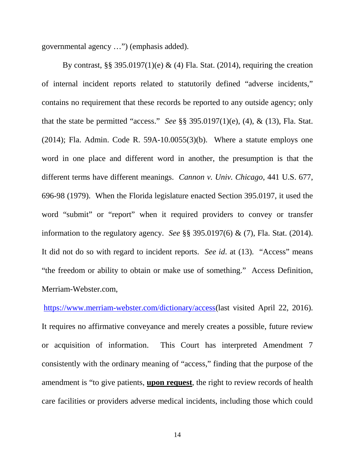<span id="page-18-1"></span>governmental agency …") (emphasis added).

<span id="page-18-4"></span><span id="page-18-2"></span><span id="page-18-0"></span>By contrast, §§ 395.0197(1)(e) & (4) Fla. Stat. (2014), requiring the creation of internal incident reports related to statutorily defined "adverse incidents," contains no requirement that these records be reported to any outside agency; only that the state be permitted "access." *See* §§ 395.0197(1)(e), (4), & (13), Fla. Stat.  $(2014)$ ; Fla. Admin. Code R. 59A-10.0055 $(3)(b)$ . Where a statute employs one word in one place and different word in another, the presumption is that the different terms have different meanings. *Cannon v. Univ. Chicago*, 441 U.S. 677, 696-98 (1979). When the Florida legislature enacted Section 395.0197, it used the word "submit" or "report" when it required providers to convey or transfer information to the regulatory agency. *See* §§ 395.0197(6) & (7), Fla. Stat. (2014). It did not do so with regard to incident reports. *See id*. at (13). "Access" means "the freedom or ability to obtain or make use of something." Access Definition, Merriam-Webster.com,

<span id="page-18-5"></span><span id="page-18-3"></span><https://www.merriam-webster.com/dictionary/access>(last visited April 22, 2016). It requires no affirmative conveyance and merely creates a possible, future review or acquisition of information. This Court has interpreted Amendment 7 consistently with the ordinary meaning of "access," finding that the purpose of the amendment is "to give patients, **upon request**, the right to review records of health care facilities or providers adverse medical incidents, including those which could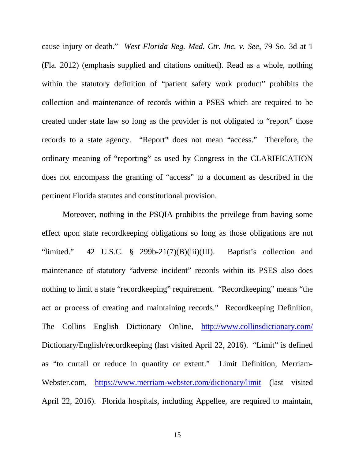<span id="page-19-0"></span>cause injury or death." *West Florida Reg. Med. Ctr. Inc. v. See*, 79 So. 3d at 1 (Fla. 2012) (emphasis supplied and citations omitted). Read as a whole, nothing within the statutory definition of "patient safety work product" prohibits the collection and maintenance of records within a PSES which are required to be created under state law so long as the provider is not obligated to "report" those records to a state agency. "Report" does not mean "access." Therefore, the ordinary meaning of "reporting" as used by Congress in the CLARIFICATION does not encompass the granting of "access" to a document as described in the pertinent Florida statutes and constitutional provision.

<span id="page-19-2"></span><span id="page-19-1"></span>Moreover, nothing in the PSQIA prohibits the privilege from having some effect upon state recordkeeping obligations so long as those obligations are not "limited." 42 U.S.C. § 299b-21(7)(B)(iii)(III). Baptist's collection and maintenance of statutory "adverse incident" records within its PSES also does nothing to limit a state "recordkeeping" requirement. "Recordkeeping" means "the act or process of creating and maintaining records." Recordkeeping Definition, The Collins English Dictionary Online, <http://www.collinsdictionary.com/> Dictionary/English/recordkeeping (last visited April 22, 2016). "Limit" is defined as "to curtail or reduce in quantity or extent." Limit Definition, Merriam-Webster.com, <https://www.merriam-webster.com/dictionary/limit> (last visited April 22, 2016). Florida hospitals, including Appellee, are required to maintain,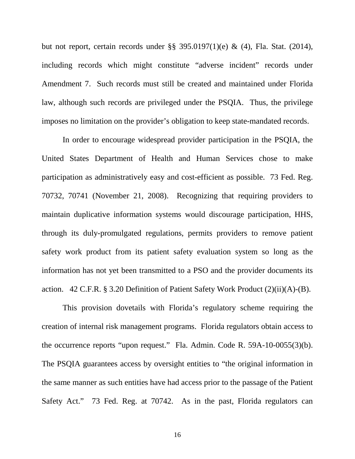but not report, certain records under §§ 395.0197(1)(e) & (4), Fla. Stat. (2014), including records which might constitute "adverse incident" records under Amendment 7. Such records must still be created and maintained under Florida law, although such records are privileged under the PSQIA. Thus, the privilege imposes no limitation on the provider's obligation to keep state-mandated records.

<span id="page-20-1"></span>In order to encourage widespread provider participation in the PSQIA, the United States Department of Health and Human Services chose to make participation as administratively easy and cost-efficient as possible. 73 Fed. Reg. 70732, 70741 (November 21, 2008). Recognizing that requiring providers to maintain duplicative information systems would discourage participation, HHS, through its duly-promulgated regulations, permits providers to remove patient safety work product from its patient safety evaluation system so long as the information has not yet been transmitted to a PSO and the provider documents its action. 42 C.F.R. § 3.20 Definition of Patient Safety Work Product (2)(ii)(A)-(B).

<span id="page-20-0"></span>This provision dovetails with Florida's regulatory scheme requiring the creation of internal risk management programs. Florida regulators obtain access to the occurrence reports "upon request." Fla. Admin. Code R. 59A-10-0055(3)(b). The PSQIA guarantees access by oversight entities to "the original information in the same manner as such entities have had access prior to the passage of the Patient Safety Act." 73 Fed. Reg. at 70742. As in the past, Florida regulators can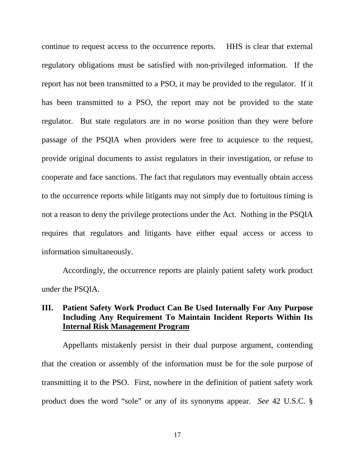continue to request access to the occurrence reports. HHS is clear that external regulatory obligations must be satisfied with non-privileged information. If the report has not been transmitted to a PSO, it may be provided to the regulator. If it has been transmitted to a PSO, the report may not be provided to the state regulator. But state regulators are in no worse position than they were before passage of the PSQIA when providers were free to acquiesce to the request, provide original documents to assist regulators in their investigation, or refuse to cooperate and face sanctions. The fact that regulators may eventually obtain access to the occurrence reports while litigants may not simply due to fortuitous timing is not a reason to deny the privilege protections under the Act. Nothing in the PSQIA requires that regulators and litigants have either equal access or access to information simultaneously.

Accordingly, the occurrence reports are plainly patient safety work product under the PSQIA.

## **III. Patient Safety Work Product Can Be Used Internally For Any Purpose Including Any Requirement To Maintain Incident Reports Within Its Internal Risk Management Program**

<span id="page-21-0"></span>Appellants mistakenly persist in their dual purpose argument, contending that the creation or assembly of the information must be for the sole purpose of transmitting it to the PSO. First, nowhere in the definition of patient safety work product does the word "sole" or any of its synonyms appear. *See* 42 U.S.C. §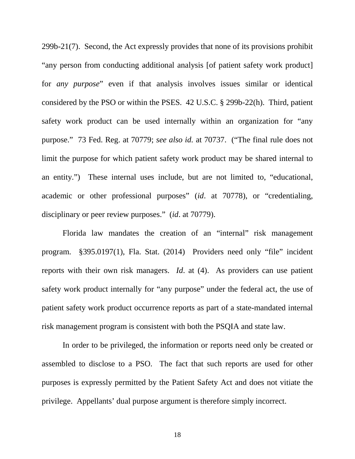<span id="page-22-0"></span>299b-21(7). Second, the Act expressly provides that none of its provisions prohibit "any person from conducting additional analysis [of patient safety work product] for *any purpose*" even if that analysis involves issues similar or identical considered by the PSO or within the PSES. 42 U.S.C. § 299b-22(h). Third, patient safety work product can be used internally within an organization for "any purpose." 73 Fed. Reg. at 70779; *see also id.* at 70737. ("The final rule does not limit the purpose for which patient safety work product may be shared internal to an entity.") These internal uses include, but are not limited to, "educational, academic or other professional purposes" (*id*. at 70778), or "credentialing, disciplinary or peer review purposes." (*id*. at 70779).

<span id="page-22-1"></span>Florida law mandates the creation of an "internal" risk management program. §395.0197(1), Fla. Stat. (2014) Providers need only "file" incident reports with their own risk managers. *Id*. at (4). As providers can use patient safety work product internally for "any purpose" under the federal act, the use of patient safety work product occurrence reports as part of a state-mandated internal risk management program is consistent with both the PSQIA and state law.

In order to be privileged, the information or reports need only be created or assembled to disclose to a PSO. The fact that such reports are used for other purposes is expressly permitted by the Patient Safety Act and does not vitiate the privilege. Appellants' dual purpose argument is therefore simply incorrect.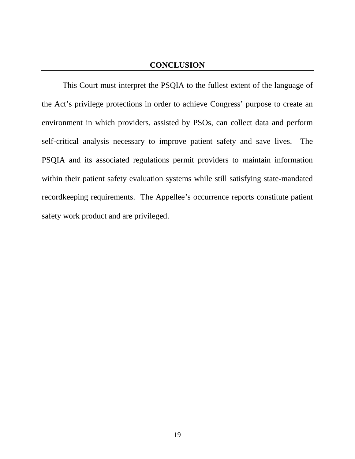### **CONCLUSION**

This Court must interpret the PSQIA to the fullest extent of the language of the Act's privilege protections in order to achieve Congress' purpose to create an environment in which providers, assisted by PSOs, can collect data and perform self-critical analysis necessary to improve patient safety and save lives. The PSQIA and its associated regulations permit providers to maintain information within their patient safety evaluation systems while still satisfying state-mandated recordkeeping requirements. The Appellee's occurrence reports constitute patient safety work product and are privileged.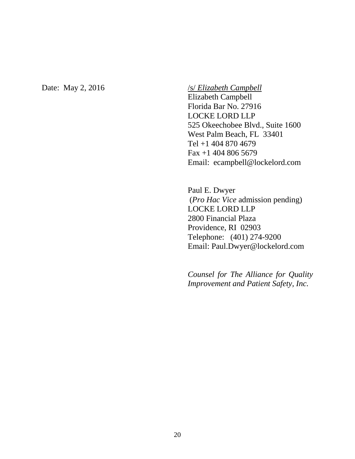#### Date: May 2, 2016 */s/ <i>Elizabeth Campbell*

Elizabeth Campbell Florida Bar No. 27916 LOCKE LORD LLP 525 Okeechobee Blvd., Suite 1600 West Palm Beach, FL 33401 Tel +1 404 870 4679 Fax +1 404 806 5679 Email: ecampbell@lockelord.com

Paul E. Dwyer (*Pro Hac Vice* admission pending) LOCKE LORD LLP 2800 Financial Plaza Providence, RI 02903 Telephone: (401) 274-9200 Email: Paul.Dwyer@lockelord.com

*Counsel for The Alliance for Quality Improvement and Patient Safety, Inc.*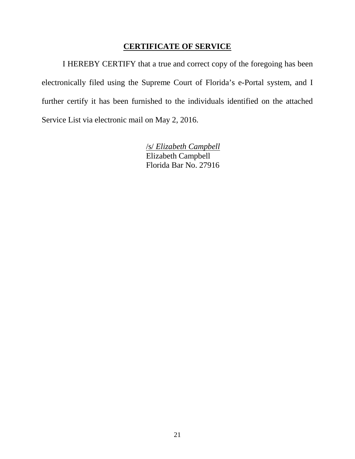### **CERTIFICATE OF SERVICE**

I HEREBY CERTIFY that a true and correct copy of the foregoing has been electronically filed using the Supreme Court of Florida's e-Portal system, and I further certify it has been furnished to the individuals identified on the attached Service List via electronic mail on May 2, 2016.

> /s/ *Elizabeth Campbell* Elizabeth Campbell Florida Bar No. 27916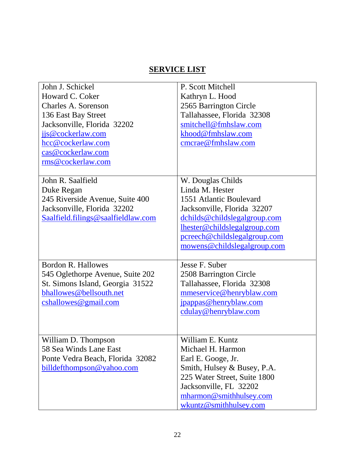# **SERVICE LIST**

| John J. Schickel                   | P. Scott Mitchell            |
|------------------------------------|------------------------------|
| Howard C. Coker                    | Kathryn L. Hood              |
| Charles A. Sorenson                | 2565 Barrington Circle       |
| 136 East Bay Street                | Tallahassee, Florida 32308   |
| Jacksonville, Florida 32202        | smitchell@fmhslaw.com        |
| jjs@cockerlaw.com                  | khood@fmhslaw.com            |
| hcc@cockerlaw.com                  | cmcrae@fmhslaw.com           |
| cas@cockerlaw.com                  |                              |
| rms@cockerlaw.com                  |                              |
|                                    |                              |
| John R. Saalfield                  | W. Douglas Childs            |
| Duke Regan                         | Linda M. Hester              |
| 245 Riverside Avenue, Suite 400    | 1551 Atlantic Boulevard      |
| Jacksonville, Florida 32202        | Jacksonville, Florida 32207  |
| Saalfield.filings@saalfieldlaw.com | dchilds@childslegalgroup.com |
|                                    | lhester@childslegalgroup.com |
|                                    | pcreech@childslegalgroup.com |
|                                    | mowens@childslegalgroup.com  |
|                                    |                              |
| Bordon R. Hallowes                 | Jesse F. Suber               |
| 545 Oglethorpe Avenue, Suite 202   | 2508 Barrington Circle       |
| St. Simons Island, Georgia 31522   | Tallahassee, Florida 32308   |
| bhallowes@bellsouth.net            | mmeservice@henryblaw.com     |
| cshallowes@gmail.com               | jpappas@henryblaw.com        |
|                                    | cdulay@henryblaw.com         |
|                                    |                              |
|                                    |                              |
| William D. Thompson                | William E. Kuntz             |
| 58 Sea Winds Lane East             | Michael H. Harmon            |
| Ponte Vedra Beach, Florida 32082   | Earl E. Googe, Jr.           |
| billdefthompson@yahoo.com          | Smith, Hulsey & Busey, P.A.  |
|                                    | 225 Water Street, Suite 1800 |
|                                    | Jacksonville, FL 32202       |
|                                    | mharmon@smithhulsey.com      |
|                                    | wkuntz@smithhulsey.com       |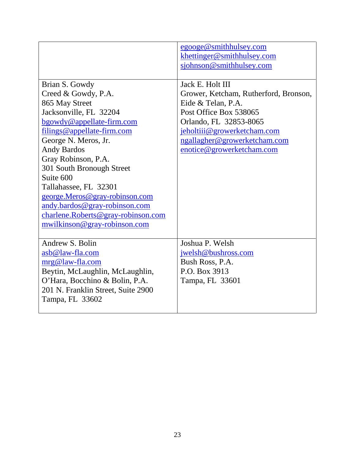|                                                                                                                                                                                                                                                                                                                                                                                                                               | egooge@smithhulsey.com<br>khettinger@smithhulsey.com<br>sjohnson@smithhulsey.com                                                                                                                                                |
|-------------------------------------------------------------------------------------------------------------------------------------------------------------------------------------------------------------------------------------------------------------------------------------------------------------------------------------------------------------------------------------------------------------------------------|---------------------------------------------------------------------------------------------------------------------------------------------------------------------------------------------------------------------------------|
| Brian S. Gowdy<br>Creed & Gowdy, P.A.<br>865 May Street<br>Jacksonville, FL 32204<br>bgowdy@appellate-firm.com<br>filings@appellate-firm.com<br>George N. Meros, Jr.<br><b>Andy Bardos</b><br>Gray Robinson, P.A.<br>301 South Bronough Street<br>Suite 600<br>Tallahassee, FL 32301<br>george.Meros@gray-robinson.com<br>andy.bardos@gray-robinson.com<br>charlene.Roberts@gray-robinson.com<br>mwilkinson@gray-robinson.com | Jack E. Holt III<br>Grower, Ketcham, Rutherford, Bronson,<br>Eide & Telan, P.A.<br>Post Office Box 538065<br>Orlando, FL 32853-8065<br>jeholtiij@growerketcham.com<br>ngallagher@growerketcham.com<br>enotice@growerketcham.com |
| Andrew S. Bolin<br>asb@law-fla.com<br>mrg@law-fla.com<br>Beytin, McLaughlin, McLaughlin,<br>O'Hara, Bocchino & Bolin, P.A.<br>201 N. Franklin Street, Suite 2900<br>Tampa, FL 33602                                                                                                                                                                                                                                           | Joshua P. Welsh<br>jwelsh@bushross.com<br>Bush Ross, P.A.<br>P.O. Box 3913<br>Tampa, FL 33601                                                                                                                                   |